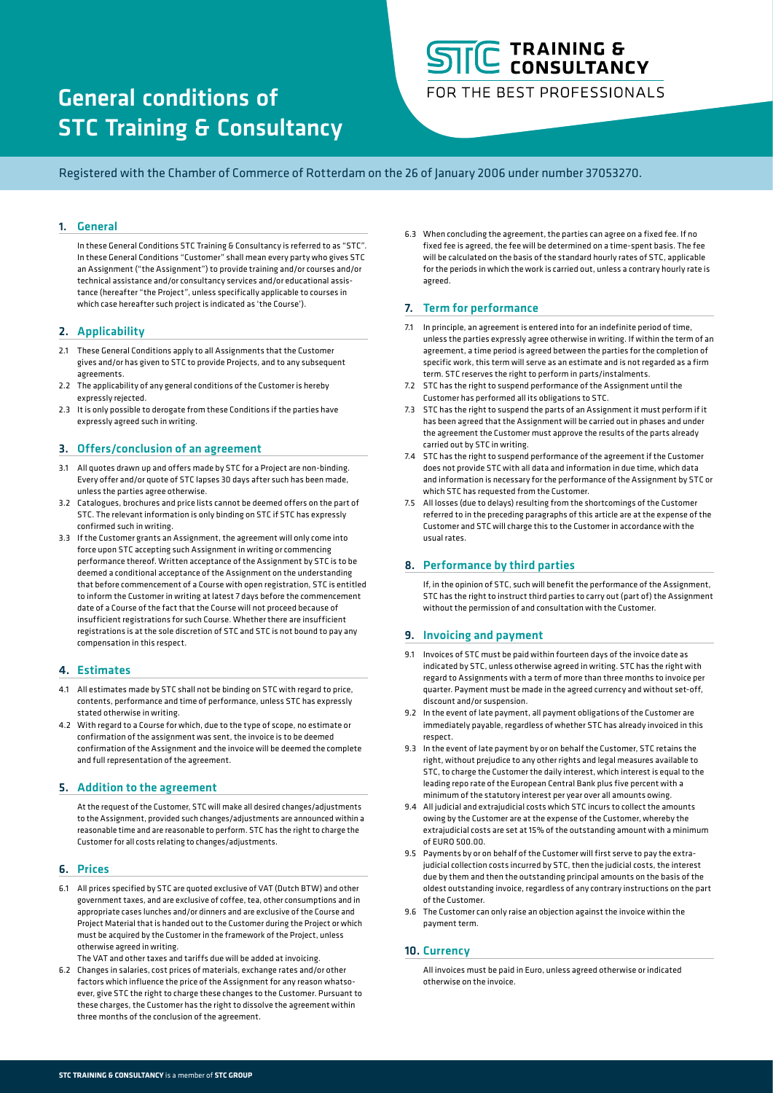# General conditions of STC Training & Consultancy

# C TRAINING & **CONSULTANCY**

FOR THE BEST PROFESSIONALS

Registered with the Chamber of Commerce of Rotterdam on the 26 of January 2006 under number 37053270.

# 1. General

In these General Conditions STC Training & Consultancy is referred to as "STC". In these General Conditions "Customer" shall mean every party who gives STC an Assignment ("the Assignment") to provide training and/or courses and/or technical assistance and/or consultancy services and/or educational assistance (hereafter "the Project", unless specifically applicable to courses in which case hereafter such project is indicated as 'the Course').

### 2. Applicability

- 2.1 These General Conditions apply to all Assignments that the Customer gives and/or has given to STC to provide Projects, and to any subsequent agreements.
- 2.2 The applicability of any general conditions of the Customer is hereby expressly rejected.
- 2.3 It is only possible to derogate from these Conditions if the parties have expressly agreed such in writing.

## 3. Offers/conclusion of an agreement

- 3.1 All quotes drawn up and offers made by STC for a Project are non-binding. Every offer and/or quote of STC lapses 30 days after such has been made, unless the parties agree otherwise.
- 3.2 Catalogues, brochures and price lists cannot be deemed offers on the part of STC. The relevant information is only binding on STC if STC has expressly confirmed such in writing.
- 3.3 If the Customer grants an Assignment, the agreement will only come into force upon STC accepting such Assignment in writing or commencing performance thereof. Written acceptance of the Assignment by STC is to be deemed a conditional acceptance of the Assignment on the understanding that before commencement of a Course with open registration, STC is entitled to inform the Customer in writing at latest 7 days before the commencement date of a Course of the fact that the Course will not proceed because of insufficient registrations for such Course. Whether there are insufficient registrations is at the sole discretion of STC and STC is not bound to pay any compensation in this respect.

### 4. Estimates

- 4.1 All estimates made by STC shall not be binding on STC with regard to price, contents, performance and time of performance, unless STC has expressly stated otherwise in writing.
- 4.2 With regard to a Course for which, due to the type of scope, no estimate or confirmation of the assignment was sent, the invoice is to be deemed confirmation of the Assignment and the invoice will be deemed the complete and full representation of the agreement.

#### 5. Addition to the agreement

At the request of the Customer, STC will make all desired changes/adjustments to the Assignment, provided such changes/adjustments are announced within a reasonable time and are reasonable to perform. STC has the right to charge the Customer for all costs relating to changes/adjustments.

#### 6. Prices

- 6.1 All prices specified by STC are quoted exclusive of VAT (Dutch BTW) and other government taxes, and are exclusive of coffee, tea, other consumptions and in appropriate cases lunches and/or dinners and are exclusive of the Course and Project Material that is handed out to the Customer during the Project or which must be acquired by the Customer in the framework of the Project, unless otherwise agreed in writing.
- The VAT and other taxes and tariffs due will be added at invoicing. 6.2 Changes in salaries, cost prices of materials, exchange rates and/or other factors which influence the price of the Assignment for any reason whatsoever, give STC the right to charge these changes to the Customer. Pursuant to these charges, the Customer has the right to dissolve the agreement within three months of the conclusion of the agreement.

6.3 When concluding the agreement, the parties can agree on a fixed fee. If no fixed fee is agreed, the fee will be determined on a time-spent basis. The fee will be calculated on the basis of the standard hourly rates of STC, applicable for the periods in which the work is carried out, unless a contrary hourly rate is agreed.

### 7. Term for performance

- 7.1 In principle, an agreement is entered into for an indefinite period of time, unless the parties expressly agree otherwise in writing. If within the term of an agreement, a time period is agreed between the parties for the completion of specific work, this term will serve as an estimate and is not regarded as a firm term. STC reserves the right to perform in parts/instalments.
- 7.2 STC has the right to suspend performance of the Assignment until the Customer has performed all its obligations to STC.
- 7.3 STC has the right to suspend the parts of an Assignment it must perform if it has been agreed that the Assignment will be carried out in phases and under the agreement the Customer must approve the results of the parts already carried out by STC in writing.
- 7.4 STC has the right to suspend performance of the agreement if the Customer does not provide STC with all data and information in due time, which data and information is necessary for the performance of the Assignment by STC or which STC has requested from the Customer.
- 7.5 All losses (due to delays) resulting from the shortcomings of the Customer referred to in the preceding paragraphs of this article are at the expense of the Customer and STC will charge this to the Customer in accordance with the usual rates.

### 8. Performance by third parties

If, in the opinion of STC, such will benefit the performance of the Assignment, STC has the right to instruct third parties to carry out (part of) the Assignment without the permission of and consultation with the Customer.

### 9. Invoicing and payment

- 9.1 Invoices of STC must be paid within fourteen days of the invoice date as indicated by STC, unless otherwise agreed in writing. STC has the right with regard to Assignments with a term of more than three months to invoice per quarter. Payment must be made in the agreed currency and without set-off, discount and/or suspension.
- 9.2 In the event of late payment, all payment obligations of the Customer are immediately payable, regardless of whether STC has already invoiced in this respect.
- 9.3 In the event of late payment by or on behalf the Customer, STC retains the right, without prejudice to any other rights and legal measures available to STC, to charge the Customer the daily interest, which interest is equal to the leading repo rate of the European Central Bank plus five percent with a minimum of the statutory interest per year over all amounts owing.
- 9.4 All judicial and extrajudicial costs which STC incurs to collect the amounts owing by the Customer are at the expense of the Customer, whereby the extrajudicial costs are set at 15% of the outstanding amount with a minimum of EURO 500.00.
- 9.5 Payments by or on behalf of the Customer will first serve to pay the extrajudicial collection costs incurred by STC, then the judicial costs, the interest due by them and then the outstanding principal amounts on the basis of the oldest outstanding invoice, regardless of any contrary instructions on the part of the Customer.
- 9.6 The Customer can only raise an objection against the invoice within the payment term.

### 10. Currency

All invoices must be paid in Euro, unless agreed otherwise or indicated otherwise on the invoice.